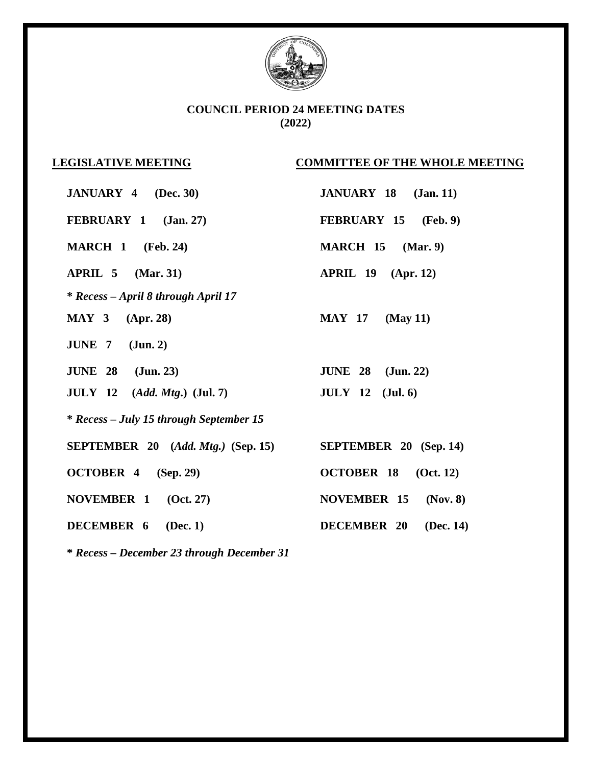

## **COUNCIL PERIOD 24 MEETING DATES (2022)**

## **LEGISLATIVE MEETING COMMITTEE OF THE WHOLE MEETING**

| <b>JANUARY 4</b> (Dec. 30)                     | JANUARY 18 (Jan. 11)            |
|------------------------------------------------|---------------------------------|
| FEBRUARY 1 (Jan. 27)                           | FEBRUARY 15 (Feb. 9)            |
| <b>MARCH 1</b> (Feb. 24)                       | $MARCH$ 15 $(Mar. 9)$           |
| $APRIL$ 5 $(Mar. 31)$                          | $APRIL$ 19 $(Apr. 12)$          |
| * Recess - April 8 through April 17            |                                 |
| <b>MAY 3</b> (Apr. 28)                         | <b>MAY 17</b> (May 11)          |
| JUNE $7$ (Jun. 2)                              |                                 |
| <b>JUNE 28</b> (Jun. 23)                       | <b>JUNE 28</b> (Jun. 22)        |
| <b>JULY</b> 12 $(Add. Mtg.)$ ( <b>Jul. 7</b> ) | $JULY$ 12 (Jul. 6)              |
| * Recess – July 15 through September 15        |                                 |
| <b>SEPTEMBER</b> 20 $(Add. Mtg.)$ (Sep. 15)    | <b>SEPTEMBER 20 (Sep. 14)</b>   |
| OCTOBER 4 (Sep. 29)                            | OCTOBER 18 (Oct. 12)            |
| NOVEMBER 1 (Oct. 27)                           | <b>NOVEMBER 15</b><br>(Nov. 8)  |
| <b>DECEMBER 6</b> (Dec. 1)                     | <b>DECEMBER 20</b><br>(Dec. 14) |

**\*** *Recess – December 23 through December 31*